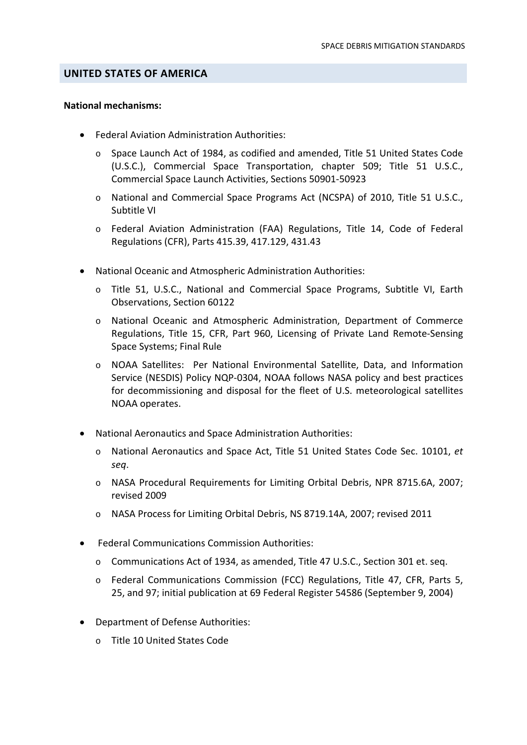#### **UNITED STATES OF AMERICA**

#### **National mechanisms:**

- Federal Aviation Administration Authorities:
	- o Space Launch Act of 1984, as codified and amended, Title 51 United States Code (U.S.C.), Commercial Space Transportation, chapter 509; Title 51 U.S.C., Commercial Space Launch Activities, Sections 50901‐50923
	- o National and Commercial Space Programs Act (NCSPA) of 2010, Title 51 U.S.C., Subtitle VI
	- o Federal Aviation Administration (FAA) Regulations, Title 14, Code of Federal Regulations (CFR), Parts 415.39, 417.129, 431.43
- National Oceanic and Atmospheric Administration Authorities:
	- o Title 51, U.S.C., National and Commercial Space Programs, Subtitle VI, Earth Observations, Section 60122
	- o National Oceanic and Atmospheric Administration, Department of Commerce Regulations, Title 15, CFR, Part 960, Licensing of Private Land Remote‐Sensing Space Systems; Final Rule
	- o NOAA Satellites: Per National Environmental Satellite, Data, and Information Service (NESDIS) Policy NQP‐0304, NOAA follows NASA policy and best practices for decommissioning and disposal for the fleet of U.S. meteorological satellites NOAA operates.
- National Aeronautics and Space Administration Authorities:
	- o National Aeronautics and Space Act, Title 51 United States Code Sec. 10101, *et seq*.
	- o NASA Procedural Requirements for Limiting Orbital Debris, NPR 8715.6A, 2007; revised 2009
	- o NASA Process for Limiting Orbital Debris, NS 8719.14A, 2007; revised 2011
- Federal Communications Commission Authorities:
	- o Communications Act of 1934, as amended, Title 47 U.S.C., Section 301 et. seq.
	- o Federal Communications Commission (FCC) Regulations, Title 47, CFR, Parts 5, 25, and 97; initial publication at 69 Federal Register 54586 (September 9, 2004)
- Department of Defense Authorities:
	- o Title 10 United States Code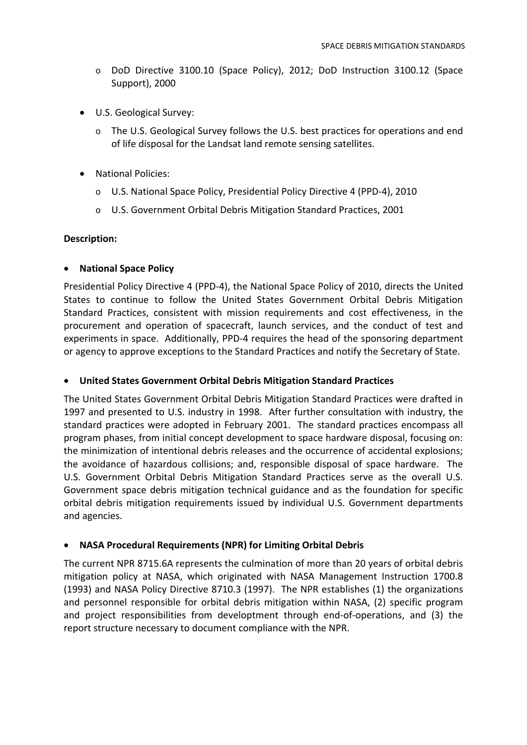- o DoD Directive 3100.10 (Space Policy), 2012; DoD Instruction 3100.12 (Space Support), 2000
- U.S. Geological Survey:
	- o The U.S. Geological Survey follows the U.S. best practices for operations and end of life disposal for the Landsat land remote sensing satellites.
- National Policies:
	- o U.S. National Space Policy, Presidential Policy Directive 4 (PPD‐4), 2010
	- o U.S. Government Orbital Debris Mitigation Standard Practices, 2001

### **Description:**

## • **National Space Policy**

Presidential Policy Directive 4 (PPD‐4), the National Space Policy of 2010, directs the United States to continue to follow the United States Government Orbital Debris Mitigation Standard Practices, consistent with mission requirements and cost effectiveness, in the procurement and operation of spacecraft, launch services, and the conduct of test and experiments in space. Additionally, PPD-4 requires the head of the sponsoring department or agency to approve exceptions to the Standard Practices and notify the Secretary of State.

# • **United States Government Orbital Debris Mitigation Standard Practices**

The United States Government Orbital Debris Mitigation Standard Practices were drafted in 1997 and presented to U.S. industry in 1998. After further consultation with industry, the standard practices were adopted in February 2001. The standard practices encompass all program phases, from initial concept development to space hardware disposal, focusing on: the minimization of intentional debris releases and the occurrence of accidental explosions; the avoidance of hazardous collisions; and, responsible disposal of space hardware. The U.S. Government Orbital Debris Mitigation Standard Practices serve as the overall U.S. Government space debris mitigation technical guidance and as the foundation for specific orbital debris mitigation requirements issued by individual U.S. Government departments and agencies.

### • **NASA Procedural Requirements (NPR) for Limiting Orbital Debris**

The current NPR 8715.6A represents the culmination of more than 20 years of orbital debris mitigation policy at NASA, which originated with NASA Management Instruction 1700.8 (1993) and NASA Policy Directive 8710.3 (1997). The NPR establishes (1) the organizations and personnel responsible for orbital debris mitigation within NASA, (2) specific program and project responsibilities from developtment through end‐of‐operations, and (3) the report structure necessary to document compliance with the NPR.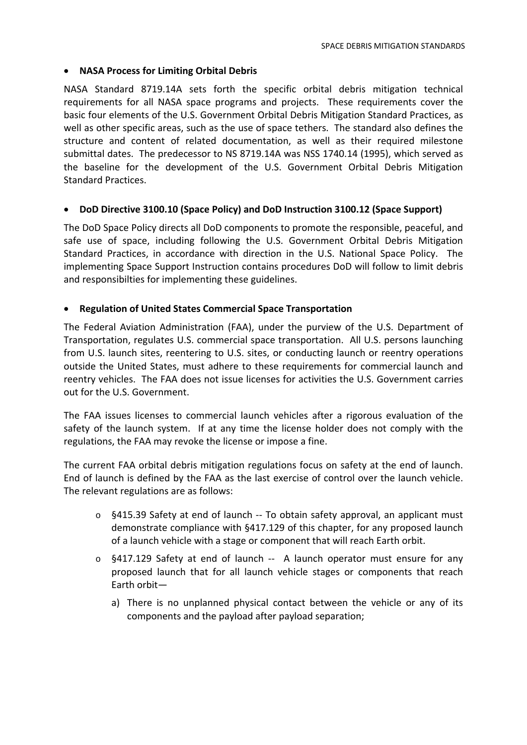#### • **NASA Process for Limiting Orbital Debris**

NASA Standard 8719.14A sets forth the specific orbital debris mitigation technical requirements for all NASA space programs and projects. These requirements cover the basic four elements of the U.S. Government Orbital Debris Mitigation Standard Practices, as well as other specific areas, such as the use of space tethers. The standard also defines the structure and content of related documentation, as well as their required milestone submittal dates. The predecessor to NS 8719.14A was NSS 1740.14 (1995), which served as the baseline for the development of the U.S. Government Orbital Debris Mitigation Standard Practices.

#### • **DoD Directive 3100.10 (Space Policy) and DoD Instruction 3100.12 (Space Support)**

The DoD Space Policy directs all DoD components to promote the responsible, peaceful, and safe use of space, including following the U.S. Government Orbital Debris Mitigation Standard Practices, in accordance with direction in the U.S. National Space Policy. The implementing Space Support Instruction contains procedures DoD will follow to limit debris and responsibilties for implementing these guidelines.

#### • **Regulation of United States Commercial Space Transportation**

The Federal Aviation Administration (FAA), under the purview of the U.S. Department of Transportation, regulates U.S. commercial space transportation. All U.S. persons launching from U.S. launch sites, reentering to U.S. sites, or conducting launch or reentry operations outside the United States, must adhere to these requirements for commercial launch and reentry vehicles. The FAA does not issue licenses for activities the U.S. Government carries out for the U.S. Government.

The FAA issues licenses to commercial launch vehicles after a rigorous evaluation of the safety of the launch system. If at any time the license holder does not comply with the regulations, the FAA may revoke the license or impose a fine.

The current FAA orbital debris mitigation regulations focus on safety at the end of launch. End of launch is defined by the FAA as the last exercise of control over the launch vehicle. The relevant regulations are as follows:

- $\circ$  §415.39 Safety at end of launch -- To obtain safety approval, an applicant must demonstrate compliance with §417.129 of this chapter, for any proposed launch of a launch vehicle with a stage or component that will reach Earth orbit.
- $\circ$  §417.129 Safety at end of launch  $-$  A launch operator must ensure for any proposed launch that for all launch vehicle stages or components that reach Earth orbit
	- a) There is no unplanned physical contact between the vehicle or any of its components and the payload after payload separation;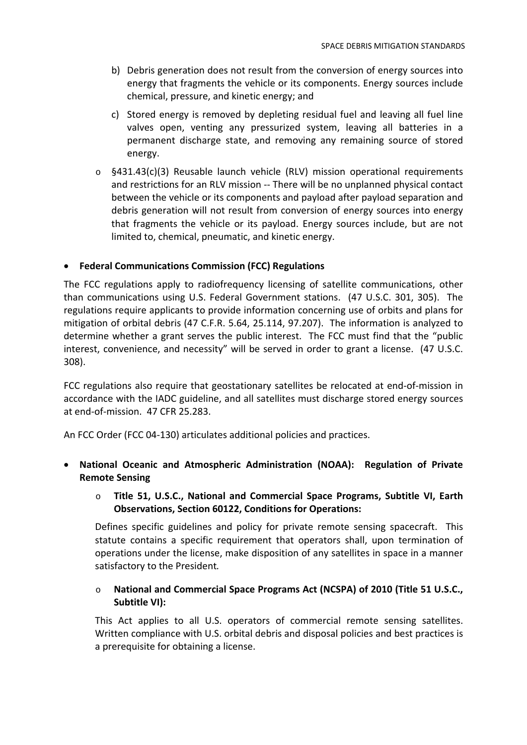- b) Debris generation does not result from the conversion of energy sources into energy that fragments the vehicle or its components. Energy sources include chemical, pressure, and kinetic energy; and
- c) Stored energy is removed by depleting residual fuel and leaving all fuel line valves open, venting any pressurized system, leaving all batteries in a permanent discharge state, and removing any remaining source of stored energy.
- o §431.43(c)(3) Reusable launch vehicle (RLV) mission operational requirements and restrictions for an RLV mission ‐‐ There will be no unplanned physical contact between the vehicle or its components and payload after payload separation and debris generation will not result from conversion of energy sources into energy that fragments the vehicle or its payload. Energy sources include, but are not limited to, chemical, pneumatic, and kinetic energy.

## • **Federal Communications Commission (FCC) Regulations**

The FCC regulations apply to radiofrequency licensing of satellite communications, other than communications using U.S. Federal Government stations. (47 U.S.C. 301, 305). The regulations require applicants to provide information concerning use of orbits and plans for mitigation of orbital debris (47 C.F.R. 5.64, 25.114, 97.207). The information is analyzed to determine whether a grant serves the public interest. The FCC must find that the "public interest, convenience, and necessity" will be served in order to grant a license. (47 U.S.C. 308).

FCC regulations also require that geostationary satellites be relocated at end-of-mission in accordance with the IADC guideline, and all satellites must discharge stored energy sources at end‐of‐mission. 47 CFR 25.283.

An FCC Order (FCC 04‐130) articulates additional policies and practices.

- **National Oceanic and Atmospheric Administration (NOAA): Regulation of Private Remote Sensing**
	- o **Title 51, U.S.C., National and Commercial Space Programs, Subtitle VI, Earth Observations, Section 60122, Conditions for Operations:**

Defines specific guidelines and policy for private remote sensing spacecraft. This statute contains a specific requirement that operators shall, upon termination of operations under the license, make disposition of any satellites in space in a manner satisfactory to the President*.*

## o **National and Commercial Space Programs Act (NCSPA) of 2010 (Title 51 U.S.C., Subtitle VI):**

This Act applies to all U.S. operators of commercial remote sensing satellites. Written compliance with U.S. orbital debris and disposal policies and best practices is a prerequisite for obtaining a license.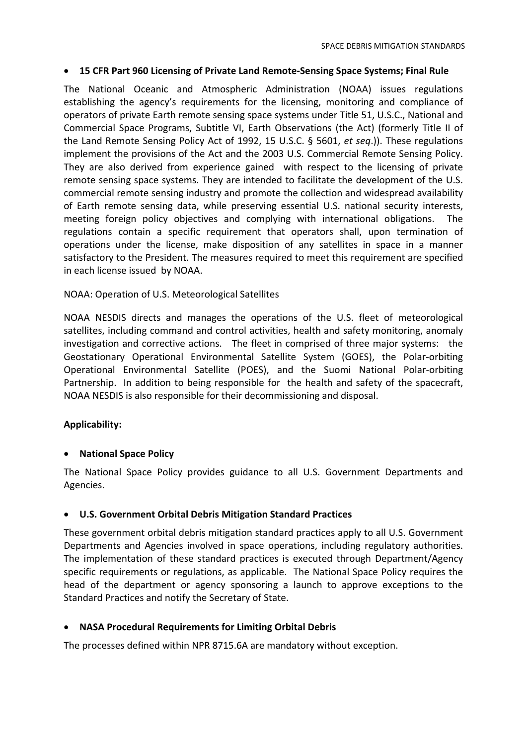### • **15 CFR Part 960 Licensing of Private Land Remote‐Sensing Space Systems; Final Rule**

The National Oceanic and Atmospheric Administration (NOAA) issues regulations establishing the agency's requirements for the licensing, monitoring and compliance of operators of private Earth remote sensing space systems under Title 51, U.S.C., National and Commercial Space Programs, Subtitle VI, Earth Observations (the Act) (formerly Title II of the Land Remote Sensing Policy Act of 1992, 15 U.S.C. § 5601, *et seq*.)). These regulations implement the provisions of the Act and the 2003 U.S. Commercial Remote Sensing Policy. They are also derived from experience gained with respect to the licensing of private remote sensing space systems. They are intended to facilitate the development of the U.S. commercial remote sensing industry and promote the collection and widespread availability of Earth remote sensing data, while preserving essential U.S. national security interests, meeting foreign policy objectives and complying with international obligations. The regulations contain a specific requirement that operators shall, upon termination of operations under the license, make disposition of any satellites in space in a manner satisfactory to the President. The measures required to meet this requirement are specified in each license issued by NOAA.

### NOAA: Operation of U.S. Meteorological Satellites

NOAA NESDIS directs and manages the operations of the U.S. fleet of meteorological satellites, including command and control activities, health and safety monitoring, anomaly investigation and corrective actions. The fleet in comprised of three major systems: the Geostationary Operational Environmental Satellite System (GOES), the Polar‐orbiting Operational Environmental Satellite (POES), and the Suomi National Polar‐orbiting Partnership. In addition to being responsible for the health and safety of the spacecraft, NOAA NESDIS is also responsible for their decommissioning and disposal.

### **Applicability:**

### • **National Space Policy**

The National Space Policy provides guidance to all U.S. Government Departments and Agencies.

### • **U.S. Government Orbital Debris Mitigation Standard Practices**

These government orbital debris mitigation standard practices apply to all U.S. Government Departments and Agencies involved in space operations, including regulatory authorities. The implementation of these standard practices is executed through Department/Agency specific requirements or regulations, as applicable. The National Space Policy requires the head of the department or agency sponsoring a launch to approve exceptions to the Standard Practices and notify the Secretary of State.

#### • **NASA Procedural Requirements for Limiting Orbital Debris**

The processes defined within NPR 8715.6A are mandatory without exception.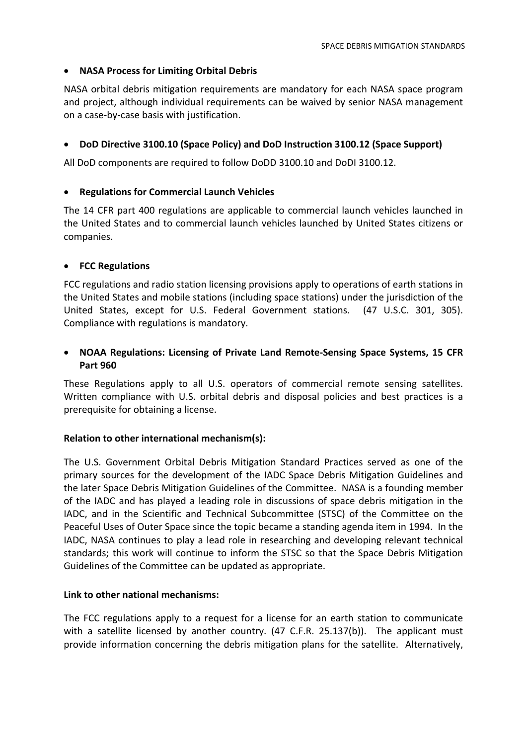### • **NASA Process for Limiting Orbital Debris**

NASA orbital debris mitigation requirements are mandatory for each NASA space program and project, although individual requirements can be waived by senior NASA management on a case‐by‐case basis with justification.

### • **DoD Directive 3100.10 (Space Policy) and DoD Instruction 3100.12 (Space Support)**

All DoD components are required to follow DoDD 3100.10 and DoDI 3100.12.

## • **Regulations for Commercial Launch Vehicles**

The 14 CFR part 400 regulations are applicable to commercial launch vehicles launched in the United States and to commercial launch vehicles launched by United States citizens or companies.

## • **FCC Regulations**

FCC regulations and radio station licensing provisions apply to operations of earth stations in the United States and mobile stations (including space stations) under the jurisdiction of the United States, except for U.S. Federal Government stations. (47 U.S.C. 301, 305). Compliance with regulations is mandatory.

# • **NOAA Regulations: Licensing of Private Land Remote‐Sensing Space Systems, 15 CFR Part 960**

These Regulations apply to all U.S. operators of commercial remote sensing satellites. Written compliance with U.S. orbital debris and disposal policies and best practices is a prerequisite for obtaining a license.

### **Relation to other international mechanism(s):**

The U.S. Government Orbital Debris Mitigation Standard Practices served as one of the primary sources for the development of the IADC Space Debris Mitigation Guidelines and the later Space Debris Mitigation Guidelines of the Committee. NASA is a founding member of the IADC and has played a leading role in discussions of space debris mitigation in the IADC, and in the Scientific and Technical Subcommittee (STSC) of the Committee on the Peaceful Uses of Outer Space since the topic became a standing agenda item in 1994. In the IADC, NASA continues to play a lead role in researching and developing relevant technical standards; this work will continue to inform the STSC so that the Space Debris Mitigation Guidelines of the Committee can be updated as appropriate.

### **Link to other national mechanisms:**

The FCC regulations apply to a request for a license for an earth station to communicate with a satellite licensed by another country. (47 C.F.R. 25.137(b)). The applicant must provide information concerning the debris mitigation plans for the satellite. Alternatively,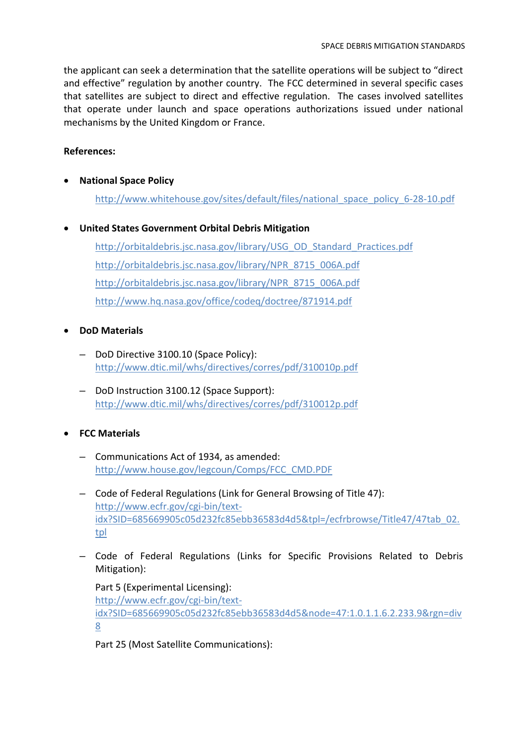the applicant can seek a determination that the satellite operations will be subject to "direct and effective" regulation by another country. The FCC determined in several specific cases that satellites are subject to direct and effective regulation. The cases involved satellites that operate under launch and space operations authorizations issued under national mechanisms by the United Kingdom or France.

# **References:**

• **National Space Policy**

http://www.whitehouse.gov/sites/default/files/national\_space\_policy\_6‐28‐10.pdf

• **United States Government Orbital Debris Mitigation** 

http://orbitaldebris.jsc.nasa.gov/library/USG\_OD\_Standard\_Practices.pdf http://orbitaldebris.jsc.nasa.gov/library/NPR\_8715\_006A.pdf http://orbitaldebris.jsc.nasa.gov/library/NPR\_8715\_006A.pdf http://www.hq.nasa.gov/office/codeq/doctree/871914.pdf

# • **DoD Materials**

- DoD Directive 3100.10 (Space Policy): http://www.dtic.mil/whs/directives/corres/pdf/310010p.pdf
- DoD Instruction 3100.12 (Space Support): http://www.dtic.mil/whs/directives/corres/pdf/310012p.pdf

# • **FCC Materials**

- Communications Act of 1934, as amended: http://www.house.gov/legcoun/Comps/FCC\_CMD.PDF
- Code of Federal Regulations (Link for General Browsing of Title 47): http://www.ecfr.gov/cgi‐bin/text‐ idx?SID=685669905c05d232fc85ebb36583d4d5&tpl=/ecfrbrowse/Title47/47tab\_02. tpl
- Code of Federal Regulations (Links for Specific Provisions Related to Debris Mitigation):

```
Part 5 (Experimental Licensing):
http://www.ecfr.gov/cgi‐bin/text‐
idx?SID=685669905c05d232fc85ebb36583d4d5&node=47:1.0.1.1.6.2.233.9&rgn=div
8
```
Part 25 (Most Satellite Communications):